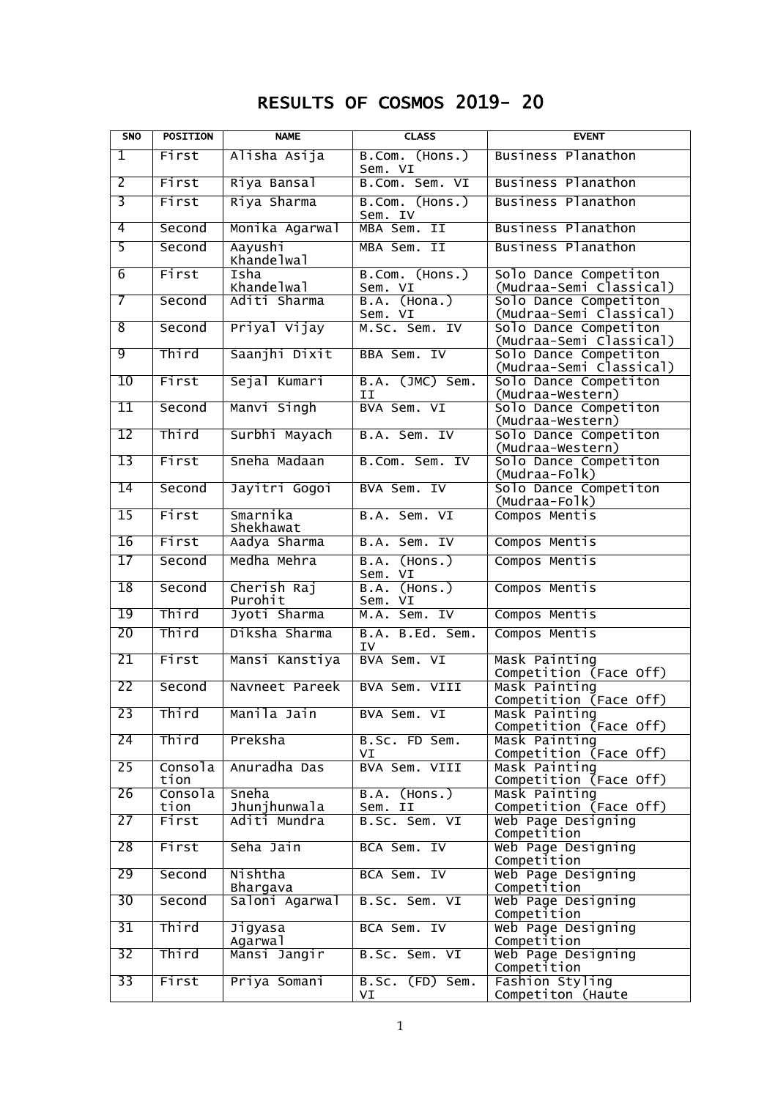# RESULTS OF COSMOS 2019- 20

| <b>SNO</b>      | <b>POSITION</b> | <b>NAME</b>            | <b>CLASS</b>                     | <b>EVENT</b>                                     |
|-----------------|-----------------|------------------------|----------------------------------|--------------------------------------------------|
| I               | First           | Alisha Asija           | B.Com. (Hons.)<br>Sem. VI        | Business Planathon                               |
| 2               | First           | Riya Bansal            | B.Com. Sem. VI                   | <b>Business Planathon</b>                        |
| $\overline{3}$  | First           | Riya Sharma            | B.Com. (Hons.)<br>Sem. IV        | <b>Business Planathon</b>                        |
| 4               | Second          | Monika Agarwal         | MBA Sem. II                      | Business Planathon                               |
| 5               | Second          | Aayushi<br>Khandelwal  | MBA Sem. II                      | Business Planathon                               |
| $\overline{6}$  | First           | Isha<br>Khandelwal     | B.Com. (Hons.)<br>Sem. VI        | Solo Dance Competiton<br>(Mudraa-Semi Classical) |
| 7               | Second          | Aditi Sharma           | $($ Hona. $)$<br>B.A.<br>Sem. VI | Solo Dance Competiton<br>(Mudraa-Semi Classical) |
| 8               | Second          | Priyal Vijay           | M.Sc. Sem. IV                    | Solo Dance Competiton<br>(Mudraa-Semi Classical) |
| 9               | Third           | Saanjhi Dixit          | BBA Sem. IV                      | Solo Dance Competiton<br>(Mudraa-Semi Classical) |
| 10              | First           | Sejal Kumari           | B.A. (JMC) Sem.<br>ΙI            | Solo Dance Competiton<br>(Mudraa-Western)        |
| 11              | Second          | Manvi Singh            | BVA Sem. VI                      | Solo Dance Competiton<br>(Mudraa-Western)        |
| 12              | Third           | Surbhi Mayach          | B.A. Sem. IV                     | Solo Dance Competiton<br>(Mudraa-Western)        |
| 13              | First           | Sneha Madaan           | B.Com. Sem. IV                   | Solo Dance Competiton<br>(Mudraa-Folk)           |
| 14              | Second          | Jayitri Gogoi          | BVA Sem. IV                      | Solo Dance Competiton<br>(Mudraa-Folk)           |
| 15              | First           | Smarnika<br>Shekhawat  | B.A. Sem. VI                     | Compos Mentis                                    |
| 16              | First           | Aadya Sharma           | B.A. Sem. IV                     | Compos Mentis                                    |
| 17              | Second          | Medha Mehra            | $($ Hons. $)$<br>B.A.<br>Sem. VI | Compos Mentis                                    |
| 18              | Second          | Cherish Raj<br>Purohit | B.A.<br>(Hons.)<br>Sem. VI       | Compos Mentis                                    |
| 19              | Third           | Jyoti Sharma           | Sem. IV<br>M.A.                  | Compos Mentis                                    |
| 20              | Third           | Diksha Sharma          | B.A. B.Ed. Sem.<br>IV            | Compos Mentis                                    |
| 21              | First           | Mansi Kanstiya         | BVA Sem. VI                      | Mask Painting<br>Competition (Face Off)          |
| 22              | Second          | Navneet Pareek         | BVA Sem. VIII                    | Mask Painting<br>Competition (Face Off)          |
| 23              | Third           | Manila Jain            | BVA Sem. VI                      | Mask Painting<br>Competition (Face Off)          |
| 24              | Third           | Preksha                | B.Sc. FD Sem.<br>VI              | Mask Painting<br>Competition (Face Off)          |
| 25              | Consola<br>tion | Anuradha Das           | BVA Sem. VIII                    | Mask Painting<br>Competition (Face Off)          |
| 26              | Consola<br>tion | Sneha<br>Jhunjhunwala  | B.A. (Hons.)<br>Sem. II          | Mask Painting<br>Competition (Face Off)          |
| 27              | First           | Aditi Mundra           | B.Sc. Sem. VI                    | Web Page Designing<br>Competition                |
| 28              | First           | Seha Jain              | BCA Sem. IV                      | Web Page Designing<br>Competition                |
| 29              | Second          | Nishtha<br>Bhargava    | BCA Sem. IV                      | Web Page Designing<br>Competition                |
| 30              | Second          | Saloni Agarwal         | B.Sc. Sem. VI                    | Web Page Designing<br>Competition                |
| 31              | Third           | Jigyasa<br>Agarwal     | BCA Sem. IV                      | Web Page Designing<br>Competition                |
| $\overline{32}$ | Third           | Mansi Jangir           | B.Sc. Sem. VI                    | Web Page Designing<br>Competition                |
| 33              | First           | Priya Somani           | B.Sc. (FD) Sem.<br>VI            | Fashion Styling<br>Competiton (Haute             |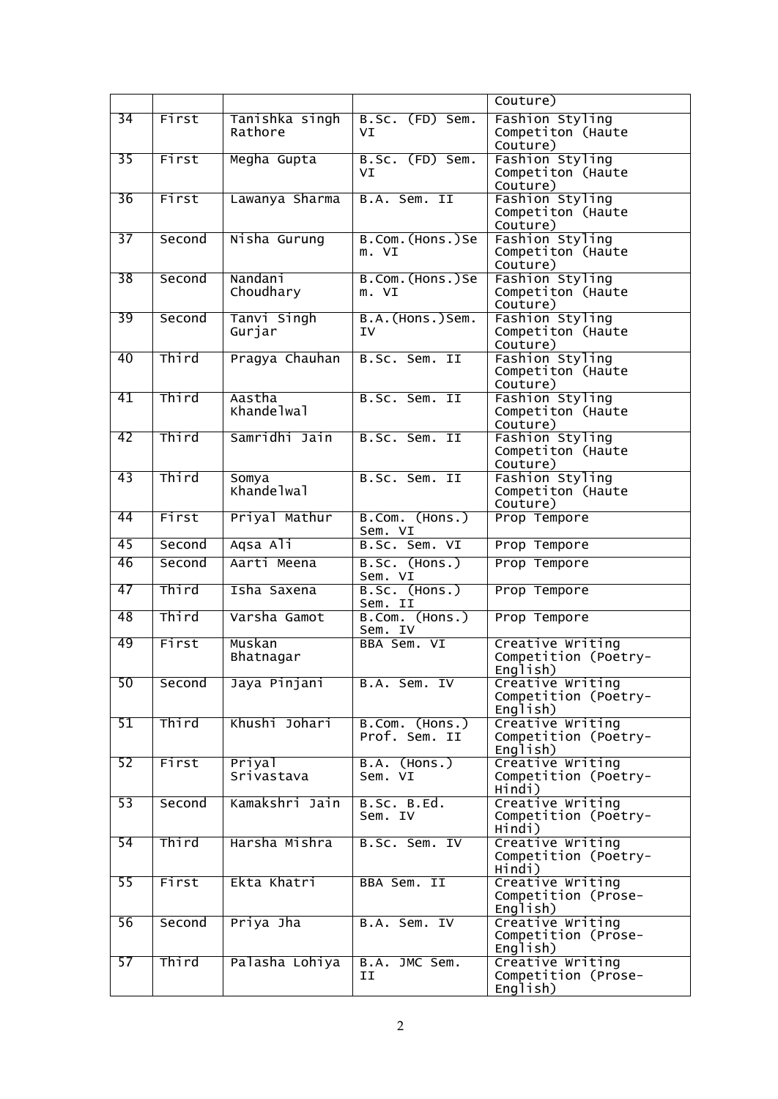|                 |        |                           |                                 | Couture)                                             |
|-----------------|--------|---------------------------|---------------------------------|------------------------------------------------------|
| $\overline{34}$ | First  | Tanishka singh<br>Rathore | B.Sc. (FD) Sem.<br>VT           | Fashion Styling<br>Competiton (Haute<br>Couture)     |
| 35              | First  | Megha Gupta               | B.Sc. (FD) Sem.<br>VI           | Fashion Styling<br>Competiton (Haute<br>Couture)     |
| 36              | First  | Lawanya Sharma            | B.A. Sem. II                    | Fashion Styling<br>Competiton (Haute<br>Couture)     |
| 37              | Second | Nisha Gurung              | B.Com. (Hons.)Se<br>m. VI       | Fashion Styling<br>Competiton (Haute<br>Couture)     |
| 38              | Second | Nandani<br>Choudhary      | B.Com.(Hons.)Se<br>m. VI        | Fashion Styling<br>Competiton (Haute<br>Couture)     |
| 39              | Second | Tanvi Singh<br>Gurjar     | B.A. (Hons.) Sem.<br>ΙV         | Fashion Styling<br>Competiton (Haute<br>Couture)     |
| 40              | Third  | Pragya Chauhan            | B.Sc. Sem. II                   | Fashion Styling<br>Competiton (Haute<br>Couture)     |
| 41              | Third  | Aastha<br>Khandelwal      | B.Sc. Sem. II                   | Fashion Styling<br>Competiton (Haute<br>Couture)     |
| 42              | Third  | Samridhi Jain             | B.Sc. Sem. II                   | Fashion Styling<br>Competiton (Haute<br>Couture)     |
| 43              | Third  | Somya<br>Khandelwal       | B.Sc. Sem. II                   | Fashion Styling<br>Competiton (Haute<br>Couture)     |
| 44              | First  | Priyal Mathur             | B.Com. (Hons.)<br>Sem. VI       | Prop Tempore                                         |
| 45              | Second | Aqsa Ali                  | B.Sc. Sem. VI                   | Prop Tempore                                         |
| 46              | Second | Aarti Meena               | <b>B.SC. (HONS.)</b><br>Sem. VI | Prop Tempore                                         |
| 47              | Third  | Isha Saxena               | B.Sc. (Hons.)<br>Sem. II        | Prop Tempore                                         |
| 48              | Third  | Varsha Gamot              | B.Com. (Hons.)<br>Sem. IV       | Prop Tempore                                         |
| 49              | First  | Muskan<br>Bhatnagar       | BBA Sem. VI                     | Creative Writing<br>Competition (Poetry-<br>English) |
| 50              | Second | Jaya Pinjani              | B.A. Sem. IV                    | Creative Writing<br>Competition (Poetry-<br>English) |
| 51              | Third  | Khushi Johari             | B.Com. (Hons.)<br>Prof. Sem. II | Creative Writing<br>Competition (Poetry-<br>English) |
| 52              | First  | Priyal<br>Srivastava      | <b>B.A. (Hons.)</b><br>Sem. VI  | Creative Writing<br>Competition (Poetry-<br>Hindi)   |
| 53              | Second | Kamakshri Jain            | B.SC. B.Ed.<br>Sem. IV          | Creative Writing<br>Competition (Poetry-<br>Hindi)   |
| $\overline{54}$ | Third  | Harsha Mishra             | B.Sc. Sem. IV                   | Creative Writing<br>Competition (Poetry-<br>Hindi)   |
| 55              | First  | Ekta Khatri               | BBA Sem. II                     | Creative Writing<br>Competition (Prose-<br>English)  |
| 56              | Second | Priya Jha                 | B.A. Sem. IV                    | Creative Writing<br>Competition (Prose-<br>English)  |
| 57              | Third  | Palasha Lohiya            | B.A. JMC Sem.<br>ΙI             | Creative Writing<br>Competition (Prose-<br>English)  |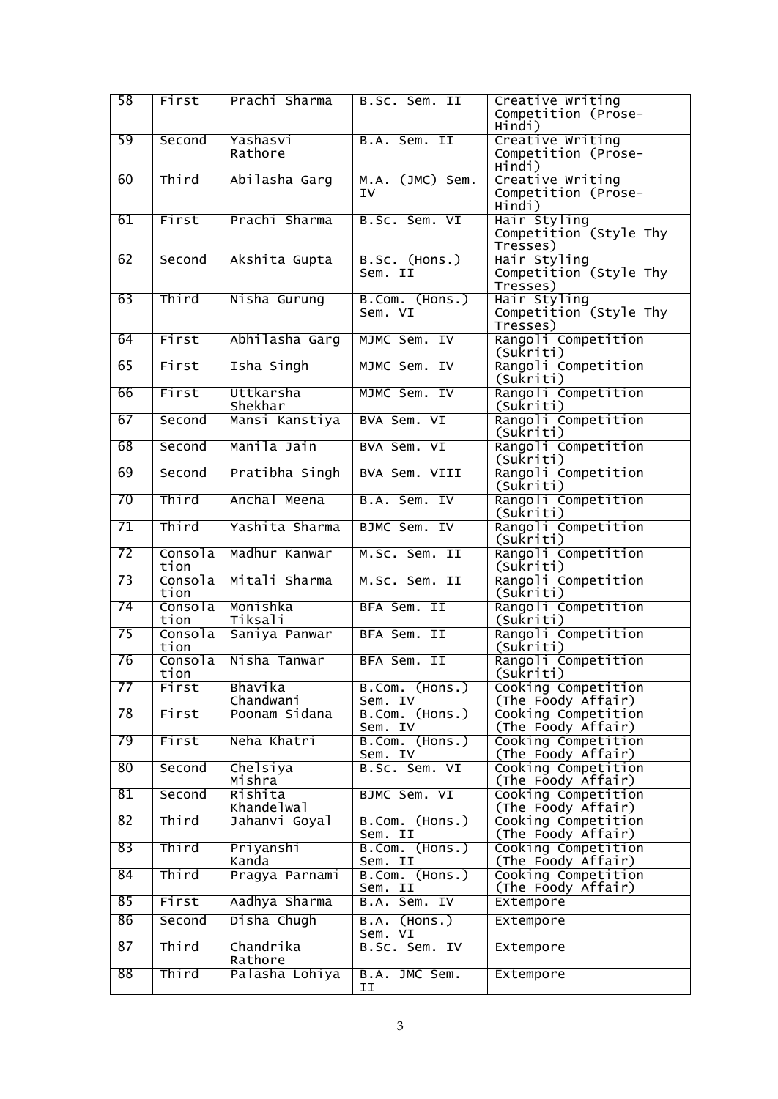| 58 | First           | Prachi Sharma         | B.Sc. Sem. II             | Creative Writing<br>Competition (Prose-<br>Hindi)  |
|----|-----------------|-----------------------|---------------------------|----------------------------------------------------|
| 59 | Second          | Yashasvi<br>Rathore   | B.A. Sem. II              | Creative Writing<br>Competition (Prose-<br>Hindi)  |
| 60 | Third           | Abilasha Garg         | M.A. (JMC) Sem.<br>ΙV     | Creative Writing<br>Competition (Prose-<br>Hindi)  |
| 61 | First           | Prachi Sharma         | B.Sc. Sem. VI             | Hair Styling<br>Competition (Style Thy<br>Tresses) |
| 62 | Second          | Akshita Gupta         | B.Sc. (Hons.)<br>Sem. II  | Hair Styling<br>Competition (Style Thy<br>Tresses) |
| 63 | Third           | Nisha Gurung          | B.Com. (Hons.)<br>Sem. VI | Hair Styling<br>Competition (Style Thy<br>Tresses) |
| 64 | First           | Abhilasha Garg        | MJMC Sem. IV              | Rangoli Competition<br>(Sukriti)                   |
| 65 | First           | Isha Singh            | MJMC Sem. IV              | Rangoli Competition<br>(Sukriti)                   |
| 66 | First           | Uttkarsha<br>Shekhar  | MJMC Sem. IV              | Rangoli Competition<br>(Sukriti)                   |
| 67 | Second          | Mansi Kanstiya        | BVA Sem. VI               | Rangoli Competition<br>(Sukriti)                   |
| 68 | Second          | Manila Jain           | BVA Sem. VI               | Rangoli Competition<br>(Sukriti)                   |
| 69 | Second          | Pratibha Singh        | BVA Sem. VIII             | Rangoli Competition<br>(Sukriti)                   |
| 70 | Third           | Anchal Meena          | B.A. Sem. IV              | Rangoli Competition<br>(Sukriti)                   |
| 71 | Third           | Yashita Sharma        | BJMC Sem. IV              | Rangoli Competition<br>(Sukriti)                   |
| 72 | Consola<br>tion | Madhur Kanwar         | M.Sc. Sem. II             | Rangoli Competition<br>$(Su\bar{k}ri\bar{t})$      |
| 73 | Consola<br>tion | Mitali Sharma         | M.Sc. Sem. II             | Rangoli Competition<br>(Sukriti)                   |
| 74 | Consola<br>tion | Monishka<br>Tiksali   | BFA Sem. II               | Rangoli Competition<br>(Sukriti)                   |
| 75 | Consola<br>tion | Saniya Panwar         | BFA Sem. II               | Rangoli Competition<br>(Sukriti)                   |
| 76 | Consola<br>tion | Nisha Tanwar          | BFA Sem. II               | Rangoli Competition<br>(Sukriti)                   |
| 77 | First           | Bhavika<br>Chandwani  | B.Com. (Hons.)<br>Sem. IV | Cooking Competition<br>(The Foody Affair)          |
| 78 | First           | Poonam Sidana         | B.Com. (Hons.)<br>Sem. IV | Cooking Competition<br>(The Foody Affair)          |
| 79 | First           | Neha Khatri           | B.Com. (Hons.)<br>Sem. IV | Cooking Competition<br>(The Foody Affair)          |
| 80 | Second          | Chelsiya<br>Mishra    | B.Sc. Sem. VI             | Cooking Competition<br>(The Foody Affair)          |
| 81 | Second          | Rishita<br>Khandelwal | BJMC Sem. VI              | Cooking Competition<br>(The Foody Affair)          |
| 82 | Third           | Jahanvi Goyal         | B.Com. (Hons.)<br>Sem. II | Cooking Competition<br>(The Foody Affair)          |
| 83 | Third           | Priyanshi<br>Kanda    | B.Com. (Hons.)<br>Sem. II | Cooking Competition<br>(The Foody Affair)          |
| 84 | Third           | Pragya Parnami        | B.Com. (Hons.)<br>Sem. II | Cooking Competition<br>(The Foody Affair)          |
| 85 | First           | Aadhya Sharma         | B.A. Sem. IV              | Extempore                                          |
| 86 | Second          | Disha Chugh           | $B.A.$ (Hons.)<br>Sem. VI | Extempore                                          |
| 87 | Third           | Chandrika<br>Rathore  | B.Sc. Sem. IV             | Extempore                                          |
| 88 | Third           | Palasha Lohiya        | B.A. JMC Sem.<br>II       | Extempore                                          |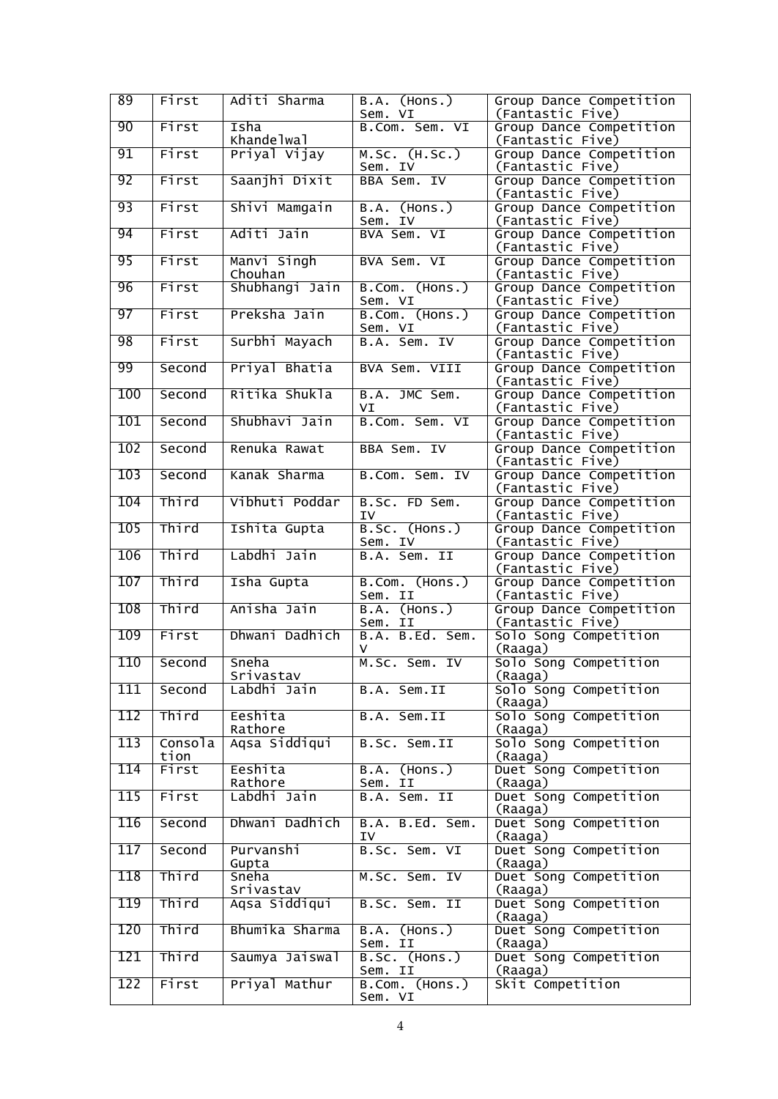| 89  | First           | Aditi Sharma           | B.A. (Hons.)<br>Sem. VI          | Group Dance Competition<br>(Fantastic Five) |
|-----|-----------------|------------------------|----------------------------------|---------------------------------------------|
| 90  | First           | Isha<br>Khandelwal     | B.Com. Sem. VI                   | Group Dance Competition<br>(Fantastic Five) |
| 91  | First           | Priyal Vijay           | M.SC. (H.SC.)<br>Sem. IV         | Group Dance Competition<br>(Fantastic Five) |
| 92  | First           | Saanjhi Dixit          | BBA Sem. IV                      | Group Dance Competition<br>(Fantastic Five) |
| 93  | First           | Shivi Mamgain          | <b>B.A.</b> (Hons.)<br>Sem. IV   | Group Dance Competition<br>(Fantastic Five) |
| 94  | First           | Aditi Jain             | BVA Sem. VI                      | Group Dance Competition<br>(Fantastic Five) |
| 95  | First           | Manvi Singh<br>Chouhan | BVA Sem. VI                      | Group Dance Competition<br>(Fantastic Five) |
| 96  | First           | Shubhangi Jain         | B.Com. (Hons.)<br>Sem. VI        | Group Dance Competition<br>(Fantastic Five) |
| 97  | First           | Preksha Jain           | B.Com. (Hons.)<br>Sem. VI        | Group Dance Competition<br>(Fantastic Five) |
| 98  | First           | Surbhi Mayach          | B.A. Sem. IV                     | Group Dance Competition<br>(Fantastic Five) |
| 99  | Second          | Priyal Bhatia          | BVA Sem. VIII                    | Group Dance Competition<br>(Fantastic Five) |
| 100 | Second          | Ritika Shukla          | B.A. JMC Sem.<br>VI              | Group Dance Competition<br>(Fantastic Five) |
| 101 | Second          | Shubhavi Jain          | B.Com. Sem. VI                   | Group Dance Competition<br>(Fantastic Five) |
| 102 | Second          | Renuka Rawat           | BBA Sem. IV                      | Group Dance Competition<br>(Fantastic Five) |
| 103 | Second          | Kanak Sharma           | B.Com. Sem. IV                   | Group Dance Competition<br>(Fantastic Five) |
| 104 | Third           | Vibhuti Poddar         | B.Sc. FD Sem.<br>IV              | Group Dance Competition<br>(Fantastic Five) |
| 105 | Third           | Ishita Gupta           | B.Sc. (Hons.)<br>Sem. IV         | Group Dance Competition<br>(Fantastic Five) |
| 106 | Third           | Labdhi Jain            | B.A. Sem. II                     | Group Dance Competition<br>(Fantastic Five) |
| 107 | Third           | Isha Gupta             | B.Com.<br>(Hons.)<br>Sem. II     | Group Dance Competition<br>(Fantastic Five) |
| 108 | Third           | Anisha Jain            | $($ Hons. $)$<br>B.A.<br>Sem. II | Group Dance Competition<br>(Fantastic Five) |
| 109 | First           | Dhwani Dadhich         | B.A. B.Ed. Sem.<br>v             | Solo Song Competition<br>(Raaga)            |
| 110 | Second          | Sneha<br>Srivastav     | M.Sc. Sem. IV                    | Solo Song Competition<br>(Raaga)            |
| 111 | Second          | Labdhi Jain            | B.A. Sem.II                      | Solo Song Competition<br>(Raaga)            |
| 112 | Third           | Eeshita<br>Rathore     | B.A. Sem.II                      | Solo Song Competition<br>(Raaga)            |
| 113 | Consola<br>tion | Aqsa Siddiqui          | B.Sc. Sem.II                     | Solo Song Competition<br>(Raaga)            |
| 114 | First           | Eeshita<br>Rathore     | B.A. (Hons.)<br>Sem. II          | Duet Song Competition<br>(Raaga)            |
| 115 | First           | Labdhi Jain            | B.A. Sem. II                     | Duet Song Competition<br>(Raaga)            |
| 116 | Second          | Dhwani Dadhich         | B.A. B.Ed. Sem.<br>ΙV            | Duet Song Competition<br>(Raaga)            |
| 117 | Second          | Purvanshi<br>Gupta     | B.Sc. Sem. VI                    | Duet Song Competition<br>(Raaga)            |
| 118 | Third           | Sneha<br>Srivastav     | M.Sc. Sem. IV                    | Duet Song Competition<br>(Raaga)            |
| 119 | Third           | Aqsa Siddiqui          | B.Sc. Sem. II                    | Duet Song Competition<br>(Raaga)            |
| 120 | Third           | Bhumika Sharma         | B.A. (Hons.)<br>Sem. II          | Duet Song Competition<br>(Raaga)            |
| 121 | Third           | Saumya Jaiswal         | B.Sc. (Hons.)<br>Sem. II         | Duet Song Competition<br>(Raaga)            |
| 122 | First           | Priyal Mathur          | B.Com. (Hons.)<br>Sem. VI        | Skit Competition                            |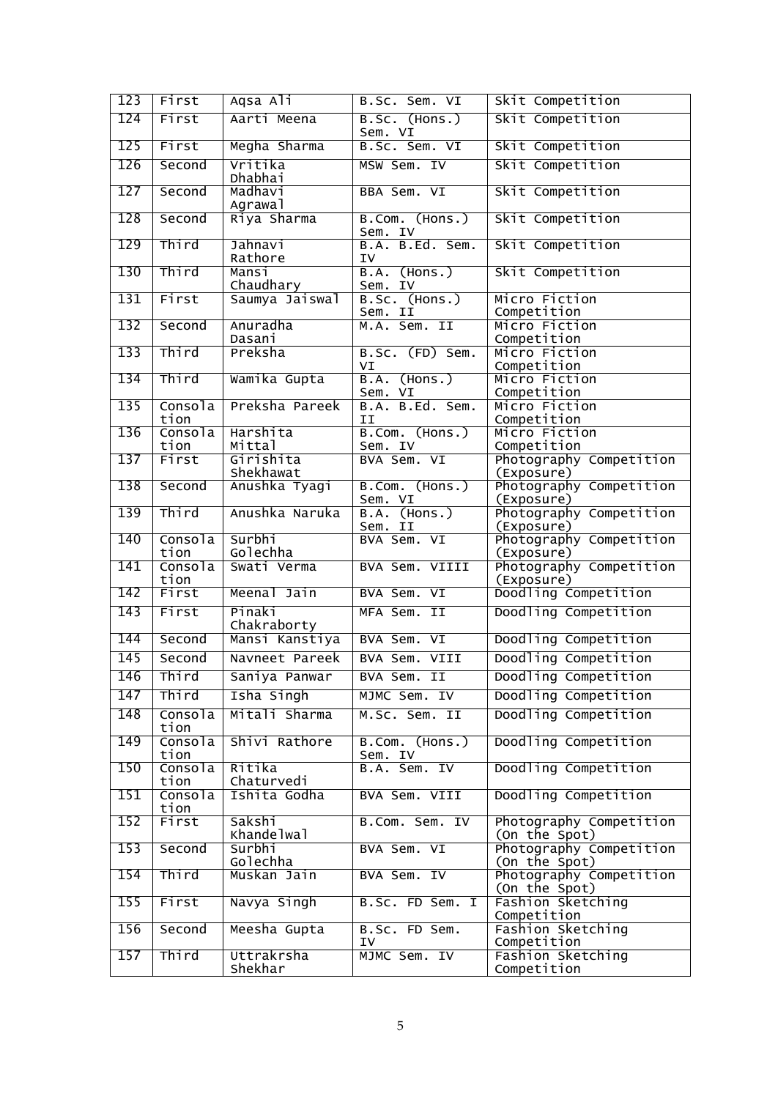| 123 | First           | Aqsa Ali               | B.Sc. Sem. VI                    | Skit Competition                         |
|-----|-----------------|------------------------|----------------------------------|------------------------------------------|
| 124 | First           | Aarti Meena            | B.Sc. (Hons.)<br>Sem. VI         | Skit Competition                         |
| 125 | First           | Megha Sharma           | B.Sc. Sem. VI                    | Skit Competition                         |
| 126 | Second          | Vritika<br>Dhabhai     | MSW Sem. IV                      | Skit Competition                         |
| 127 | Second          | Madhavi<br>Agrawal     | BBA Sem. VI                      | Skit Competition                         |
| 128 | Second          | Riya Sharma            | B.Com. (Hons.)<br>Sem. IV        | Skit Competition                         |
| 129 | Third           | Jahnavi<br>Rathore     | B.A. B.Ed. Sem.<br>ΙV            | Skit Competition                         |
| 130 | Third           | Mansi<br>Chaudhary     | B.A.<br>(mos.)<br>Sem. IV        | Skit Competition                         |
| 131 | First           | Saumya Jaiswal         | B.SC. (Hons.)<br>Sem. II         | Micro Fiction<br>Competition             |
| 132 | Second          | Anuradha<br>Dasani     | M.A. Sem. II                     | Micro Fiction<br>Competition             |
| 133 | Third           | Preksha                | B.SC. (FD) Sem.<br>VI            | Micro Fiction<br>Competition             |
| 134 | Third           | Wamika Gupta           | <b>B.A.</b> (Hons.)              | Micro Fiction<br>Competition             |
| 135 | Consola<br>tion | Preksha Pareek         | Sem. VI<br>B.A. B.Ed. Sem.<br>ΙI | Micro Fiction<br>Competition             |
| 136 | Consola<br>tion | Harshita<br>Mittal     | B.Com. (Hons.)<br>Sem. IV        | Micro Fiction<br>Competition             |
| 137 | First           | Girishita<br>Shekhawat | BVA Sem. VI                      | Photography Competition<br>(Exposure)    |
| 138 | Second          | Anushka Tyagi          | B.Com. (Hons.)<br>Sem. VI        | Photography Competition<br>(Exposure)    |
| 139 | Third           | Anushka Naruka         | B.A. (Hons.)<br>Sem. II          | Photography Competition<br>(Exposure)    |
| 140 | Consola<br>tion | Surbhi<br>Golechha     | BVA Sem. VI                      | Photography Competition<br>(Exposure)    |
| 141 | Consola<br>tion | Swati Verma            | BVA Sem. VIIII                   | Photography Competition<br>(Exposure)    |
| 142 | First           | Meenal Jain            | BVA Sem. VI                      | Doodling Competition                     |
| 143 | First           | Pinaki<br>Chakraborty  | MFA Sem. II                      | Doodling Competition                     |
| 144 | Second          | Mansi Kanstiya         | BVA Sem. VI                      | Doodling Competition                     |
| 145 | Second          | Navneet Pareek         | BVA Sem. VIII                    | Doodling Competition                     |
| 146 | $ $ Third       | Saniya Panwar          | BVA Sem. II                      | Doodling Competition                     |
| 147 | Third           | Isha Singh             | MJMC Sem. IV                     | Doodling Competition                     |
| 148 | Consola<br>tion | Mitali Sharma          | M.Sc. Sem. II                    | Doodling Competition                     |
| 149 | Consola<br>tion | Shivi Rathore          | B.Com. (Hons.)<br>Sem. IV        | Doodling Competition                     |
| 150 | Consola<br>tion | Ritika<br>Chaturvedi   | B.A. Sem. IV                     | Doodling Competition                     |
| 151 | Consola<br>tion | Ishita Godha           | BVA Sem. VIII                    | Doodling Competition                     |
| 152 | First           | Sakshi<br>Khandelwal   | B.Com. Sem. IV                   | Photography Competition<br>(On the Spot) |
| 153 | Second          | Surbhi<br>Golechha     | BVA Sem. VI                      | Photography Competition<br>(On the Spot) |
| 154 | Third           | Muskan Jain            | BVA Sem. IV                      | Photography Competition<br>(On the Spot) |
| 155 | First           | Navya Singh            | B.Sc. FD Sem. I                  | Fashion Sketching<br>Competition         |
| 156 | Second          | Meesha Gupta           | B.Sc. FD Sem.<br>IV              | Fashion Sketching<br>Competition         |
| 157 | Third           | Uttrakrsha<br>Shekhar  | MJMC Sem. IV                     | Fashion Sketching<br>Competition         |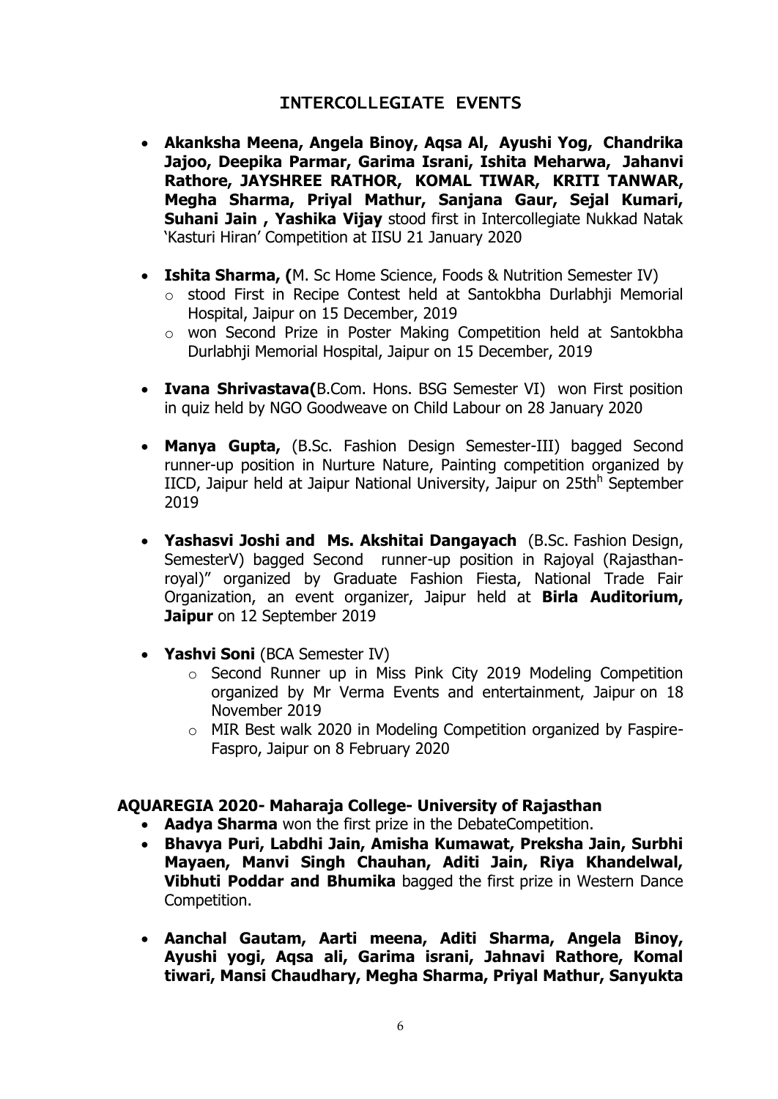## INTERCOLLEGIATE EVENTS

- **Akanksha Meena, Angela Binoy, Aqsa Al, Ayushi Yog, Chandrika Jajoo, Deepika Parmar, Garima Israni, Ishita Meharwa, Jahanvi Rathore, JAYSHREE RATHOR, KOMAL TIWAR, KRITI TANWAR, Megha Sharma, Priyal Mathur, Sanjana Gaur, Sejal Kumari, Suhani Jain , Yashika Vijay** stood first in Intercollegiate Nukkad Natak "Kasturi Hiran" Competition at IISU 21 January 2020
- **Ishita Sharma, (**M. Sc Home Science, Foods & Nutrition Semester IV)
	- o stood First in Recipe Contest held at Santokbha Durlabhji Memorial Hospital, Jaipur on 15 December, 2019
	- o won Second Prize in Poster Making Competition held at Santokbha Durlabhji Memorial Hospital, Jaipur on 15 December, 2019
- **Ivana Shrivastava(**B.Com. Hons. BSG Semester VI) won First position in quiz held by NGO Goodweave on Child Labour on 28 January 2020
- **Manya Gupta,** (B.Sc. Fashion Design Semester-III) bagged Second runner-up position in Nurture Nature, Painting competition organized by IICD, Jaipur held at Jaipur National University, Jaipur on 25th<sup>h</sup> September 2019
- **Yashasvi Joshi and Ms. Akshitai Dangayach** (B.Sc. Fashion Design, SemesterV) bagged Second runner-up position in Rajoyal (Rajasthanroyal)" organized by Graduate Fashion Fiesta, National Trade Fair Organization, an event organizer, Jaipur held at **Birla Auditorium, Jaipur** on 12 September 2019
- **Yashvi Soni** (BCA Semester IV)
	- o Second Runner up in Miss Pink City 2019 Modeling Competition organized by Mr Verma Events and entertainment, Jaipur on 18 November 2019
	- o MIR Best walk 2020 in Modeling Competition organized by Faspire-Faspro, Jaipur on 8 February 2020

## **AQUAREGIA 2020- Maharaja College- University of Rajasthan**

- **Aadya Sharma** won the first prize in the DebateCompetition.
- **Bhavya Puri, Labdhi Jain, Amisha Kumawat, Preksha Jain, Surbhi Mayaen, Manvi Singh Chauhan, Aditi Jain, Riya Khandelwal, Vibhuti Poddar and Bhumika** bagged the first prize in Western Dance Competition.
- **Aanchal Gautam, Aarti meena, Aditi Sharma, Angela Binoy, Ayushi yogi, Aqsa ali, Garima israni, Jahnavi Rathore, Komal tiwari, Mansi Chaudhary, Megha Sharma, Priyal Mathur, Sanyukta**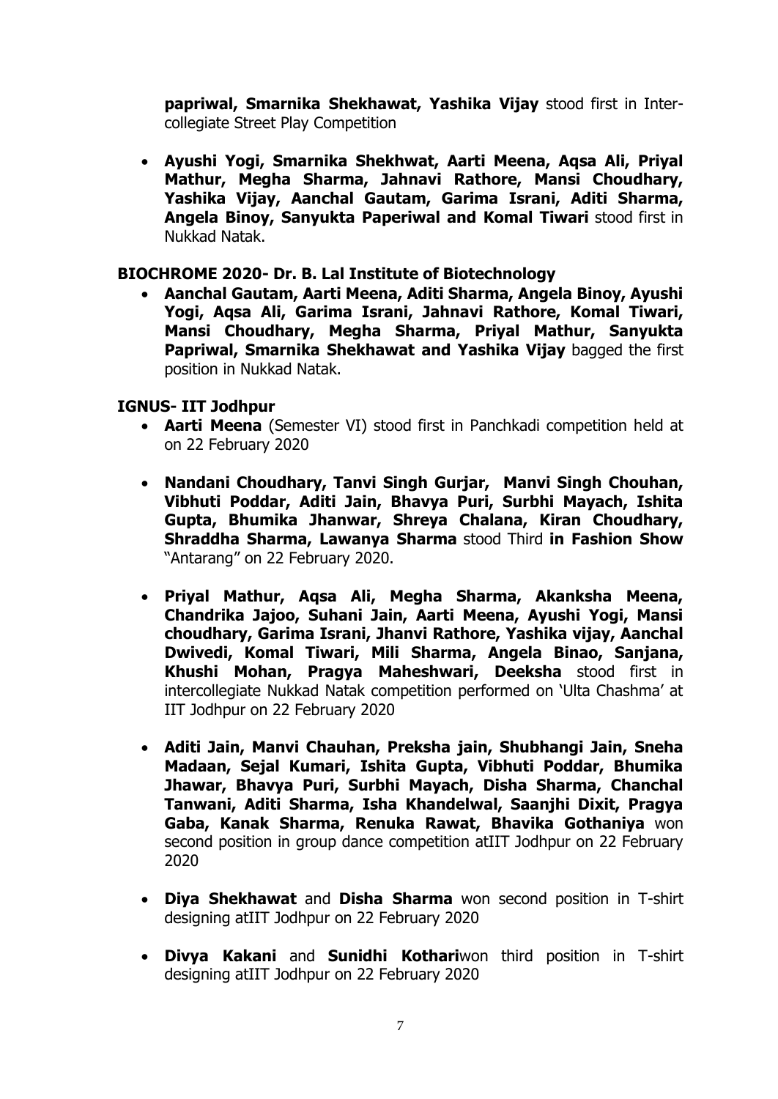**papriwal, Smarnika Shekhawat, Yashika Vijay** stood first in Intercollegiate Street Play Competition

 **Ayushi Yogi, Smarnika Shekhwat, Aarti Meena, Aqsa Ali, Priyal Mathur, Megha Sharma, Jahnavi Rathore, Mansi Choudhary, Yashika Vijay, Aanchal Gautam, Garima Israni, Aditi Sharma, Angela Binoy, Sanyukta Paperiwal and Komal Tiwari** stood first in Nukkad Natak.

#### **BIOCHROME 2020- Dr. B. Lal Institute of Biotechnology**

 **Aanchal Gautam, Aarti Meena, Aditi Sharma, Angela Binoy, Ayushi Yogi, Aqsa Ali, Garima Israni, Jahnavi Rathore, Komal Tiwari, Mansi Choudhary, Megha Sharma, Priyal Mathur, Sanyukta Papriwal, Smarnika Shekhawat and Yashika Vijay** bagged the first position in Nukkad Natak.

## **IGNUS- IIT Jodhpur**

- **Aarti Meena** (Semester VI) stood first in Panchkadi competition held at on 22 February 2020
- **Nandani Choudhary, Tanvi Singh Gurjar, Manvi Singh Chouhan, Vibhuti Poddar, Aditi Jain, Bhavya Puri, Surbhi Mayach, Ishita Gupta, Bhumika Jhanwar, Shreya Chalana, Kiran Choudhary, Shraddha Sharma, Lawanya Sharma** stood Third **in Fashion Show**  "Antarang" on 22 February 2020.
- **Priyal Mathur, Aqsa Ali, Megha Sharma, Akanksha Meena, Chandrika Jajoo, Suhani Jain, Aarti Meena, Ayushi Yogi, Mansi choudhary, Garima Israni, Jhanvi Rathore, Yashika vijay, Aanchal Dwivedi, Komal Tiwari, Mili Sharma, Angela Binao, Sanjana, Khushi Mohan, Pragya Maheshwari, Deeksha** stood first in intercollegiate Nukkad Natak competition performed on "Ulta Chashma" at IIT Jodhpur on 22 February 2020
- **Aditi Jain, Manvi Chauhan, Preksha jain, Shubhangi Jain, Sneha Madaan, Sejal Kumari, Ishita Gupta, Vibhuti Poddar, Bhumika Jhawar, Bhavya Puri, Surbhi Mayach, Disha Sharma, Chanchal Tanwani, Aditi Sharma, Isha Khandelwal, Saanjhi Dixit, Pragya Gaba, Kanak Sharma, Renuka Rawat, Bhavika Gothaniya** won second position in group dance competition atIIT Jodhpur on 22 February 2020
- **Diya Shekhawat** and **Disha Sharma** won second position in T-shirt designing atIIT Jodhpur on 22 February 2020
- **Divya Kakani** and **Sunidhi Kothari**won third position in T-shirt designing atIIT Jodhpur on 22 February 2020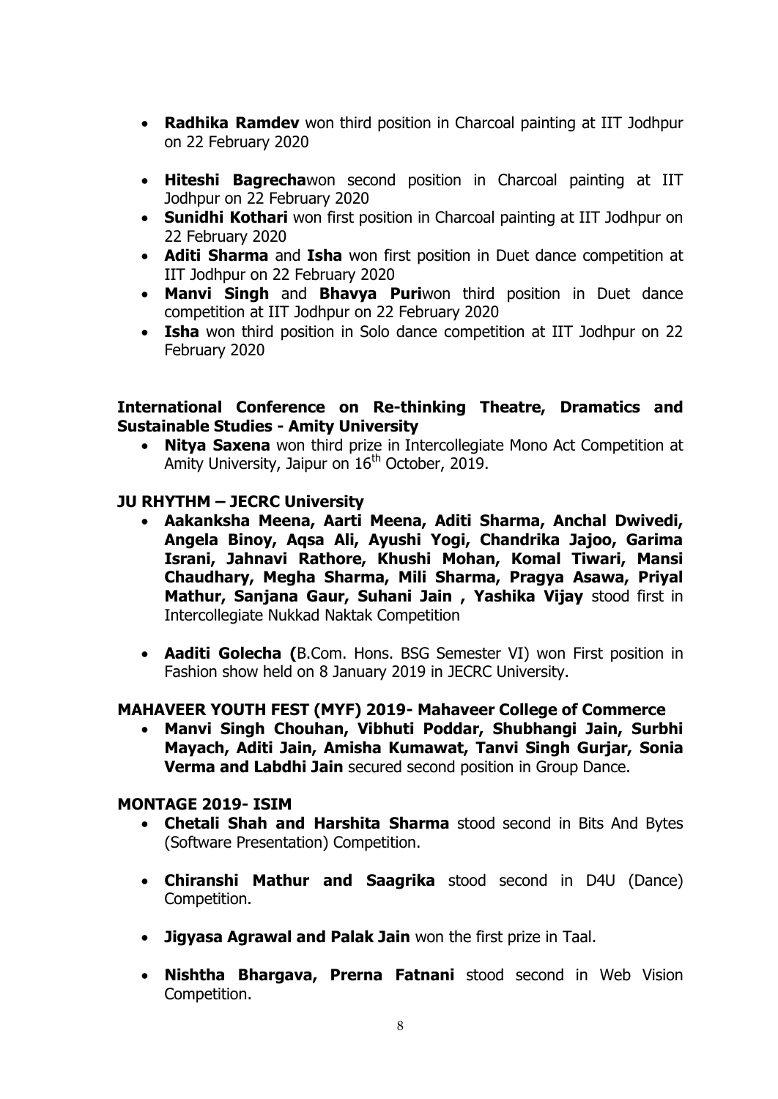- **Radhika Ramdev** won third position in Charcoal painting at IIT Jodhpur on 22 February 2020
- **Hiteshi Bagrecha**won second position in Charcoal painting at IIT Jodhpur on 22 February 2020
- **Sunidhi Kothari** won first position in Charcoal painting at IIT Jodhpur on 22 February 2020
- **Aditi Sharma** and **Isha** won first position in Duet dance competition at IIT Jodhpur on 22 February 2020
- **Manvi Singh** and **Bhavya Puri**won third position in Duet dance competition at IIT Jodhpur on 22 February 2020
- **Isha** won third position in Solo dance competition at IIT Jodhpur on 22 February 2020

## **International Conference on Re-thinking Theatre, Dramatics and Sustainable Studies - Amity University**

 **Nitya Saxena** won third prize in Intercollegiate Mono Act Competition at Amity University, Jaipur on  $16<sup>th</sup>$  October, 2019.

## **JU RHYTHM – JECRC University**

- **Aakanksha Meena, Aarti Meena, Aditi Sharma, Anchal Dwivedi, Angela Binoy, Aqsa Ali, Ayushi Yogi, Chandrika Jajoo, Garima Israni, Jahnavi Rathore, Khushi Mohan, Komal Tiwari, Mansi Chaudhary, Megha Sharma, Mili Sharma, Pragya Asawa, Priyal Mathur, Sanjana Gaur, Suhani Jain , Yashika Vijay** stood first in Intercollegiate Nukkad Naktak Competition
- **Aaditi Golecha (**B.Com. Hons. BSG Semester VI) won First position in Fashion show held on 8 January 2019 in JECRC University.

## **MAHAVEER YOUTH FEST (MYF) 2019- Mahaveer College of Commerce**

 **Manvi Singh Chouhan, Vibhuti Poddar, Shubhangi Jain, Surbhi Mayach, Aditi Jain, Amisha Kumawat, Tanvi Singh Gurjar, Sonia Verma and Labdhi Jain** secured second position in Group Dance.

#### **MONTAGE 2019- ISIM**

- **Chetali Shah and Harshita Sharma** stood second in Bits And Bytes (Software Presentation) Competition.
- **Chiranshi Mathur and Saagrika** stood second in D4U (Dance) Competition.
- **Jigyasa Agrawal and Palak Jain** won the first prize in Taal.
- **Nishtha Bhargava, Prerna Fatnani** stood second in Web Vision Competition.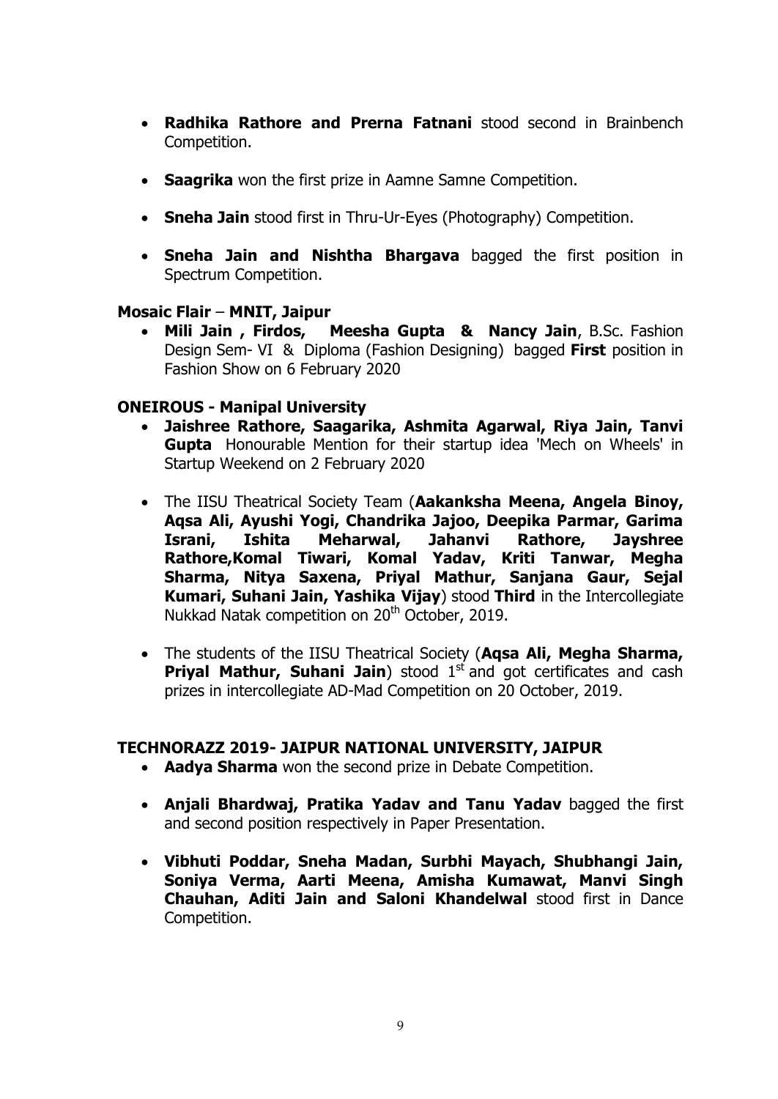- **Radhika Rathore and Prerna Fatnani** stood second in Brainbench Competition.
- **Saagrika** won the first prize in Aamne Samne Competition.
- **Sneha Jain** stood first in Thru-Ur-Eyes (Photography) Competition.
- **Sneha Jain and Nishtha Bhargava** bagged the first position in Spectrum Competition.

#### **Mosaic Flair** – **MNIT, Jaipur**

 **Mili Jain , Firdos, Meesha Gupta & Nancy Jain**, B.Sc. Fashion Design Sem- VI & Diploma (Fashion Designing) bagged **First** position in Fashion Show on 6 February 2020

## **ONEIROUS - Manipal University**

- **Jaishree Rathore, Saagarika, Ashmita Agarwal, Riya Jain, Tanvi Gupta** Honourable Mention for their startup idea 'Mech on Wheels' in Startup Weekend on 2 February 2020
- The IISU Theatrical Society Team (**Aakanksha Meena, Angela Binoy, Aqsa Ali, Ayushi Yogi, Chandrika Jajoo, Deepika Parmar, Garima Israni, Ishita Meharwal, Jahanvi Rathore, Jayshree Rathore,Komal Tiwari, Komal Yadav, Kriti Tanwar, Megha Sharma, Nitya Saxena, Priyal Mathur, Sanjana Gaur, Sejal Kumari, Suhani Jain, Yashika Vijay**) stood **Third** in the Intercollegiate Nukkad Natak competition on 20<sup>th</sup> October, 2019.
- The students of the IISU Theatrical Society (**Aqsa Ali, Megha Sharma, Priyal Mathur, Suhani Jain**) stood 1<sup>st</sup> and got certificates and cash prizes in intercollegiate AD-Mad Competition on 20 October, 2019.

## **TECHNORAZZ 2019- JAIPUR NATIONAL UNIVERSITY, JAIPUR**

- **Aadya Sharma** won the second prize in Debate Competition.
- **Anjali Bhardwaj, Pratika Yadav and Tanu Yadav** bagged the first and second position respectively in Paper Presentation.
- **Vibhuti Poddar, Sneha Madan, Surbhi Mayach, Shubhangi Jain, Soniya Verma, Aarti Meena, Amisha Kumawat, Manvi Singh Chauhan, Aditi Jain and Saloni Khandelwal** stood first in Dance Competition.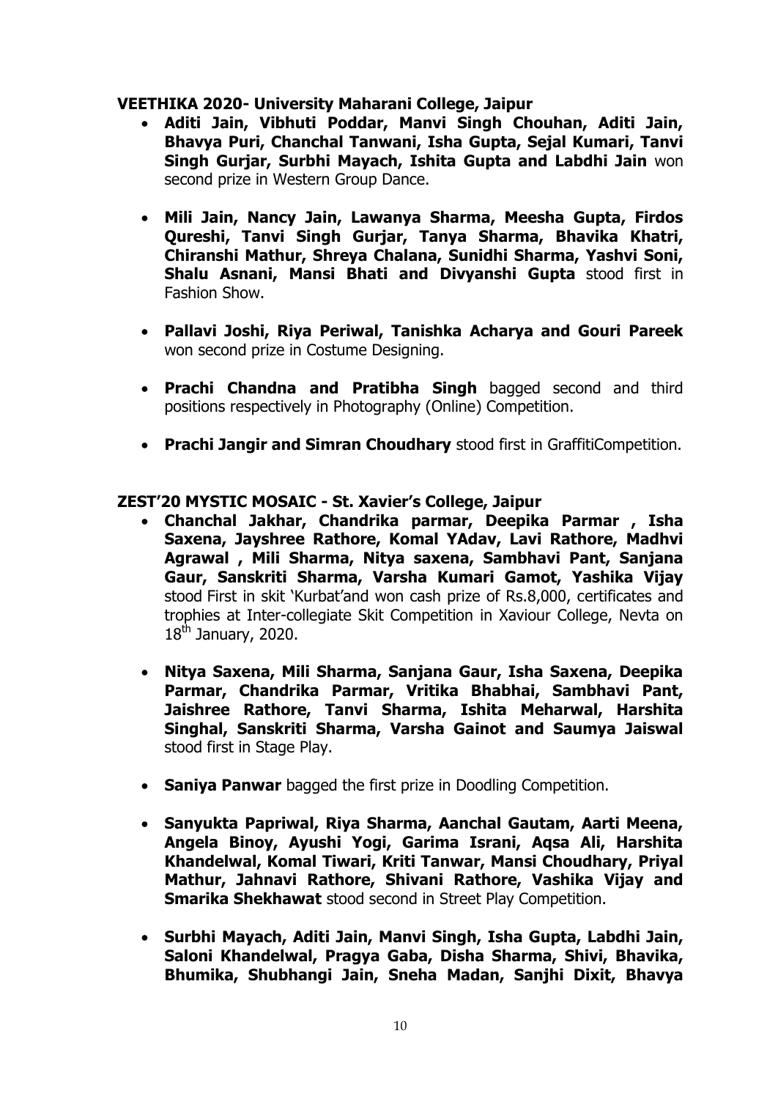#### **VEETHIKA 2020- University Maharani College, Jaipur**

- **Aditi Jain, Vibhuti Poddar, Manvi Singh Chouhan, Aditi Jain, Bhavya Puri, Chanchal Tanwani, Isha Gupta, Sejal Kumari, Tanvi Singh Gurjar, Surbhi Mayach, Ishita Gupta and Labdhi Jain** won second prize in Western Group Dance.
- **Mili Jain, Nancy Jain, Lawanya Sharma, Meesha Gupta, Firdos Qureshi, Tanvi Singh Gurjar, Tanya Sharma, Bhavika Khatri, Chiranshi Mathur, Shreya Chalana, Sunidhi Sharma, Yashvi Soni, Shalu Asnani, Mansi Bhati and Divyanshi Gupta** stood first in Fashion Show.
- **Pallavi Joshi, Riya Periwal, Tanishka Acharya and Gouri Pareek** won second prize in Costume Designing.
- **Prachi Chandna and Pratibha Singh** bagged second and third positions respectively in Photography (Online) Competition.
- **Prachi Jangir and Simran Choudhary** stood first in GraffitiCompetition.

#### **ZEST'20 MYSTIC MOSAIC - St. Xavier's College, Jaipur**

- **Chanchal Jakhar, Chandrika parmar, Deepika Parmar , Isha Saxena, Jayshree Rathore, Komal YAdav, Lavi Rathore, Madhvi Agrawal , Mili Sharma, Nitya saxena, Sambhavi Pant, Sanjana Gaur, Sanskriti Sharma, Varsha Kumari Gamot, Yashika Vijay** stood First in skit "Kurbat"and won cash prize of Rs.8,000, certificates and trophies at Inter-collegiate Skit Competition in Xaviour College, Nevta on  $18^{th}$  January, 2020.
- **Nitya Saxena, Mili Sharma, Sanjana Gaur, Isha Saxena, Deepika Parmar, Chandrika Parmar, Vritika Bhabhai, Sambhavi Pant, Jaishree Rathore, Tanvi Sharma, Ishita Meharwal, Harshita Singhal, Sanskriti Sharma, Varsha Gainot and Saumya Jaiswal** stood first in Stage Play.
- **Saniya Panwar** bagged the first prize in Doodling Competition.
- **Sanyukta Papriwal, Riya Sharma, Aanchal Gautam, Aarti Meena, Angela Binoy, Ayushi Yogi, Garima Israni, Aqsa Ali, Harshita Khandelwal, Komal Tiwari, Kriti Tanwar, Mansi Choudhary, Priyal Mathur, Jahnavi Rathore, Shivani Rathore, Vashika Vijay and Smarika Shekhawat** stood second in Street Play Competition.
- **Surbhi Mayach, Aditi Jain, Manvi Singh, Isha Gupta, Labdhi Jain, Saloni Khandelwal, Pragya Gaba, Disha Sharma, Shivi, Bhavika, Bhumika, Shubhangi Jain, Sneha Madan, Sanjhi Dixit, Bhavya**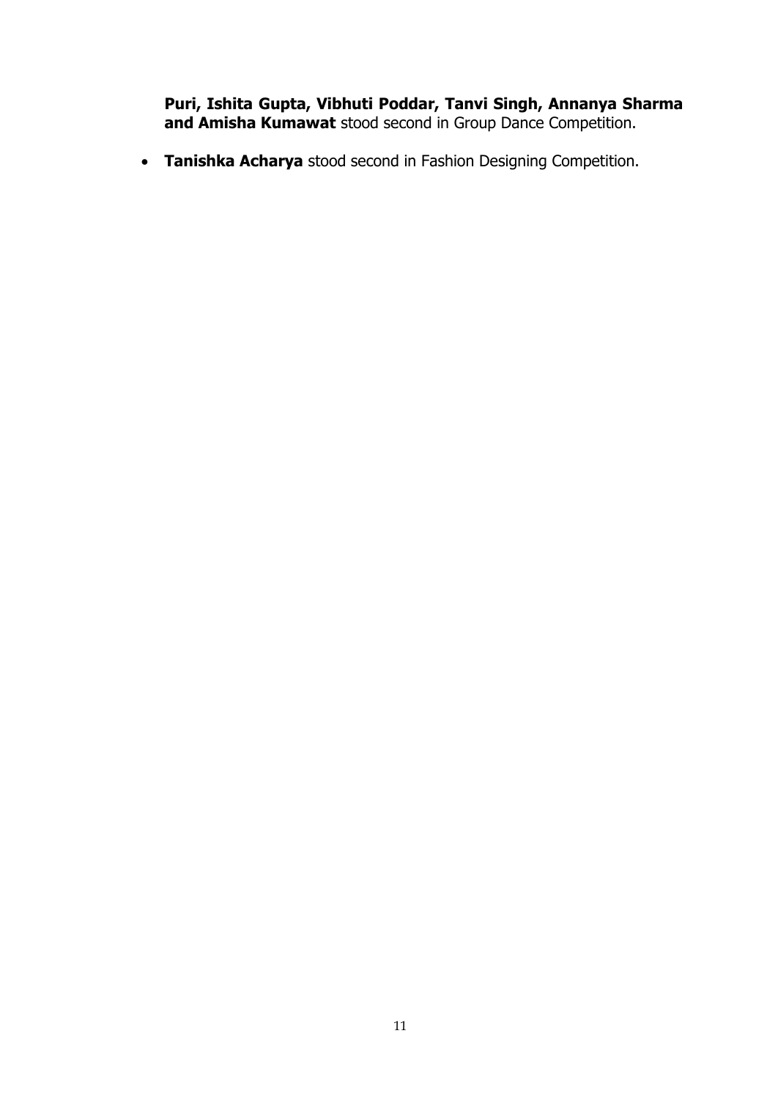**Puri, Ishita Gupta, Vibhuti Poddar, Tanvi Singh, Annanya Sharma and Amisha Kumawat** stood second in Group Dance Competition.

**Tanishka Acharya** stood second in Fashion Designing Competition.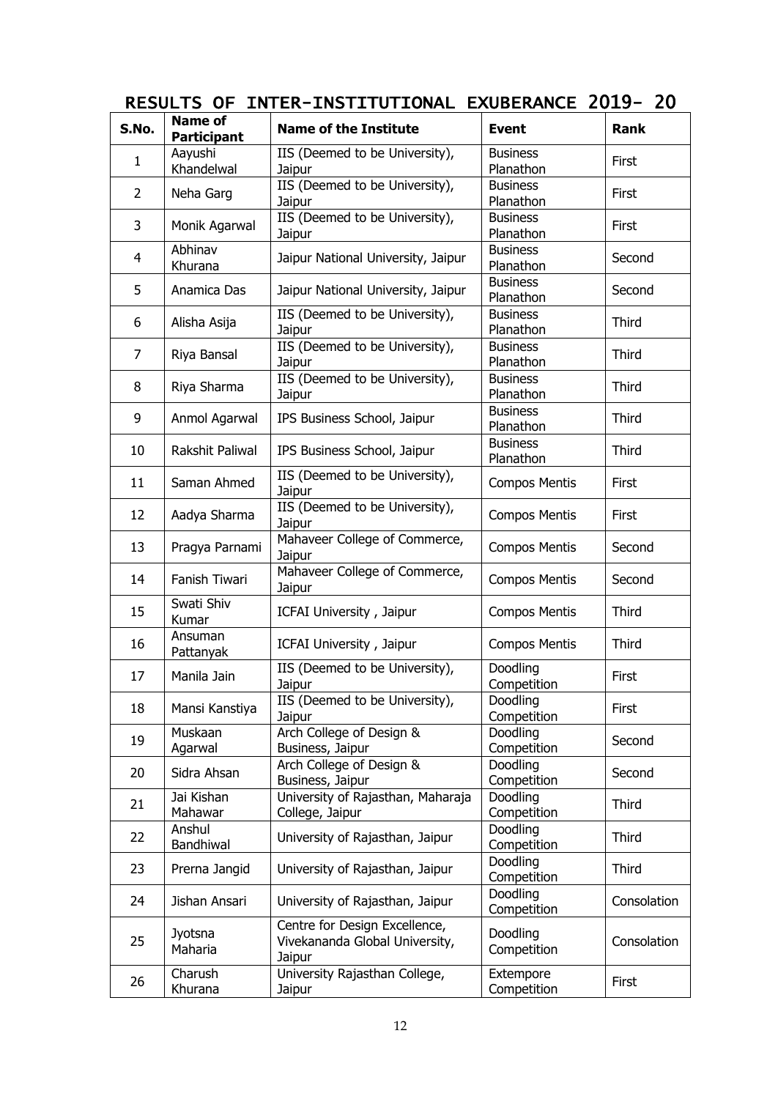| S.No.          | <b>Name of</b><br><b>Participant</b> | <b>Name of the Institute</b>                                              | <b>Event</b>                 | <b>Rank</b>  |
|----------------|--------------------------------------|---------------------------------------------------------------------------|------------------------------|--------------|
| 1              | Aayushi<br>Khandelwal                | IIS (Deemed to be University),<br>Jaipur                                  | <b>Business</b><br>Planathon | First        |
| $\overline{2}$ | Neha Garg                            | IIS (Deemed to be University),<br>Jaipur                                  | <b>Business</b><br>Planathon | First        |
| 3              | Monik Agarwal                        | IIS (Deemed to be University),<br>Jaipur                                  | <b>Business</b><br>Planathon | First        |
| $\overline{4}$ | Abhinav<br>Khurana                   | Jaipur National University, Jaipur                                        | <b>Business</b><br>Planathon | Second       |
| 5              | Anamica Das                          | Jaipur National University, Jaipur                                        | <b>Business</b><br>Planathon | Second       |
| 6              | Alisha Asija                         | IIS (Deemed to be University),<br>Jaipur                                  | <b>Business</b><br>Planathon | Third        |
| 7              | Riya Bansal                          | IIS (Deemed to be University),<br>Jaipur                                  | <b>Business</b><br>Planathon | Third        |
| 8              | Riya Sharma                          | IIS (Deemed to be University),<br>Jaipur                                  | <b>Business</b><br>Planathon | Third        |
| 9              | Anmol Agarwal                        | IPS Business School, Jaipur                                               | <b>Business</b><br>Planathon | Third        |
| 10             | Rakshit Paliwal                      | IPS Business School, Jaipur                                               | <b>Business</b><br>Planathon | Third        |
| 11             | Saman Ahmed                          | IIS (Deemed to be University),<br>Jaipur                                  | <b>Compos Mentis</b>         | First        |
| 12             | Aadya Sharma                         | IIS (Deemed to be University),<br>Jaipur                                  | <b>Compos Mentis</b>         | First        |
| 13             | Pragya Parnami                       | Mahaveer College of Commerce,<br>Jaipur                                   | <b>Compos Mentis</b>         | Second       |
| 14             | Fanish Tiwari                        | Mahaveer College of Commerce,<br>Jaipur                                   | <b>Compos Mentis</b>         | Second       |
| 15             | Swati Shiv<br>Kumar                  | ICFAI University, Jaipur                                                  | <b>Compos Mentis</b>         | <b>Third</b> |
| 16             | Ansuman<br>Pattanyak                 | ICFAI University, Jaipur                                                  | <b>Compos Mentis</b>         | Third        |
| 17             | Manila Jain                          | IIS (Deemed to be University),<br>Jaipur                                  | Doodling<br>Competition      | First        |
| 18             | Mansi Kanstiya                       | IIS (Deemed to be University),<br>Jaipur                                  | Doodling<br>Competition      | First        |
| 19             | Muskaan<br>Agarwal                   | Arch College of Design &<br>Business, Jaipur                              | Doodling<br>Competition      | Second       |
| 20             | Sidra Ahsan                          | Arch College of Design &<br>Business, Jaipur                              | Doodling<br>Competition      | Second       |
| 21             | Jai Kishan<br>Mahawar                | University of Rajasthan, Maharaja<br>College, Jaipur                      | Doodling<br>Competition      | Third        |
| 22             | Anshul<br>Bandhiwal                  | University of Rajasthan, Jaipur                                           | Doodling<br>Competition      | Third        |
| 23             | Prerna Jangid                        | University of Rajasthan, Jaipur                                           | Doodling<br>Competition      | Third        |
| 24             | Jishan Ansari                        | University of Rajasthan, Jaipur                                           | Doodling<br>Competition      | Consolation  |
| 25             | Jyotsna<br>Maharia                   | Centre for Design Excellence,<br>Vivekananda Global University,<br>Jaipur | Doodling<br>Competition      | Consolation  |
| 26             | Charush<br>Khurana                   | University Rajasthan College,<br>Jaipur                                   | Extempore<br>Competition     | First        |

## RESULTS OF INTER-INSTITUTIONAL EXUBERANCE 2019- 20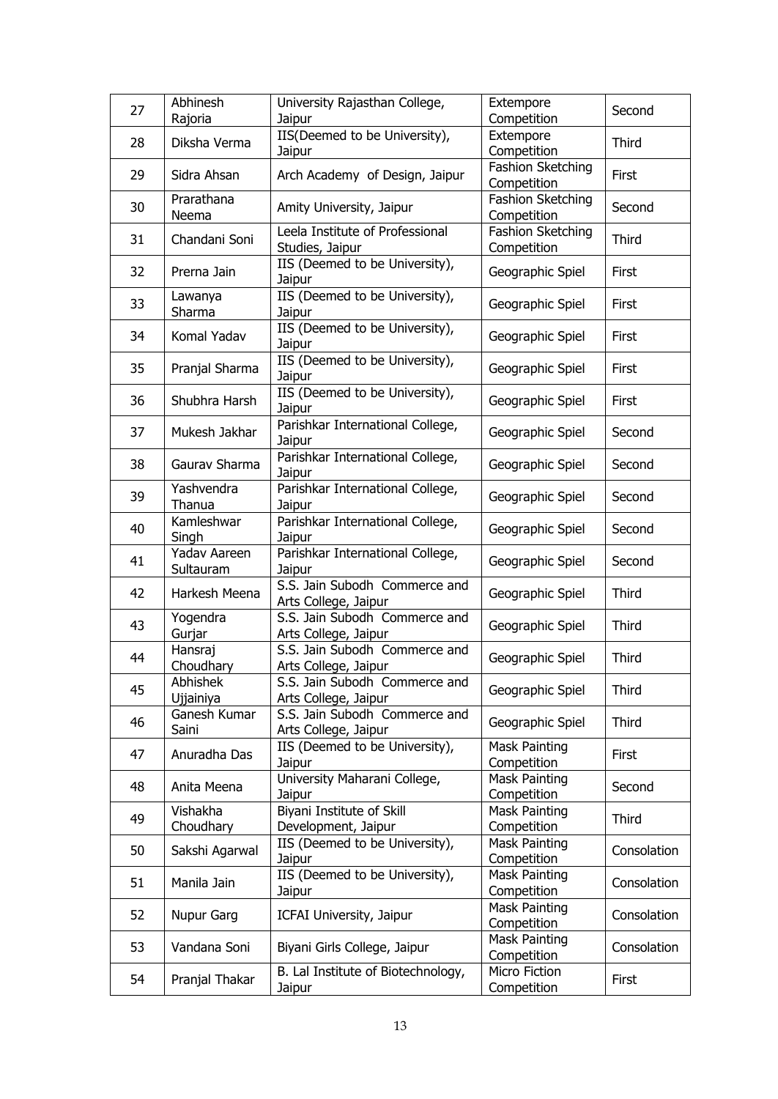| 27 | Abhinesh<br>Rajoria          | University Rajasthan College,<br>Jaipur               | Extempore<br>Competition            | Second       |
|----|------------------------------|-------------------------------------------------------|-------------------------------------|--------------|
| 28 | Diksha Verma                 | IIS(Deemed to be University),<br>Jaipur               | Extempore<br>Competition            | Third        |
| 29 | Sidra Ahsan                  | Arch Academy of Design, Jaipur                        | Fashion Sketching<br>Competition    | First        |
| 30 | Prarathana<br>Neema          | Amity University, Jaipur                              | Fashion Sketching<br>Competition    | Second       |
| 31 | Chandani Soni                | Leela Institute of Professional<br>Studies, Jaipur    | Fashion Sketching<br>Competition    | <b>Third</b> |
| 32 | Prerna Jain                  | IIS (Deemed to be University),<br>Jaipur              | Geographic Spiel                    | First        |
| 33 | Lawanya<br>Sharma            | IIS (Deemed to be University),<br>Jaipur              | Geographic Spiel                    | First        |
| 34 | Komal Yadav                  | IIS (Deemed to be University),<br>Jaipur              | Geographic Spiel                    | First        |
| 35 | Pranjal Sharma               | IIS (Deemed to be University),<br>Jaipur              | Geographic Spiel                    | First        |
| 36 | Shubhra Harsh                | IIS (Deemed to be University),<br>Jaipur              | Geographic Spiel                    | First        |
| 37 | Mukesh Jakhar                | Parishkar International College,<br>Jaipur            | Geographic Spiel                    | Second       |
| 38 | Gaurav Sharma                | Parishkar International College,<br>Jaipur            | Geographic Spiel                    | Second       |
| 39 | Yashvendra<br>Thanua         | Parishkar International College,<br>Jaipur            | Geographic Spiel                    | Second       |
| 40 | Kamleshwar<br>Singh          | Parishkar International College,<br>Jaipur            | Geographic Spiel                    | Second       |
| 41 | Yadav Aareen<br>Sultauram    | Parishkar International College,<br>Jaipur            | Geographic Spiel                    | Second       |
| 42 | Harkesh Meena                | S.S. Jain Subodh Commerce and<br>Arts College, Jaipur | Geographic Spiel                    | Third        |
| 43 | Yogendra<br>Gurjar           | S.S. Jain Subodh Commerce and<br>Arts College, Jaipur | Geographic Spiel                    | Third        |
| 44 | Hansraj<br>Choudhary         | S.S. Jain Subodh Commerce and<br>Arts College, Jaipur | Geographic Spiel                    | Third        |
| 45 | <b>Abhishek</b><br>Ujjainiya | S.S. Jain Subodh Commerce and<br>Arts College, Jaipur | Geographic Spiel                    | <b>Third</b> |
| 46 | Ganesh Kumar<br>Saini        | S.S. Jain Subodh Commerce and<br>Arts College, Jaipur | Geographic Spiel                    | Third        |
| 47 | Anuradha Das                 | IIS (Deemed to be University),<br>Jaipur              | Mask Painting<br>Competition        | First        |
| 48 | Anita Meena                  | University Maharani College,<br>Jaipur                | Mask Painting<br>Competition        | Second       |
| 49 | Vishakha<br>Choudhary        | Biyani Institute of Skill<br>Development, Jaipur      | <b>Mask Painting</b><br>Competition | Third        |
| 50 | Sakshi Agarwal               | IIS (Deemed to be University),<br>Jaipur              | Mask Painting<br>Competition        | Consolation  |
| 51 | Manila Jain                  | IIS (Deemed to be University),<br>Jaipur              | <b>Mask Painting</b><br>Competition | Consolation  |
| 52 | Nupur Garg                   | ICFAI University, Jaipur                              | Mask Painting<br>Competition        | Consolation  |
| 53 | Vandana Soni                 | Biyani Girls College, Jaipur                          | Mask Painting<br>Competition        | Consolation  |
| 54 | Pranjal Thakar               | B. Lal Institute of Biotechnology,<br>Jaipur          | Micro Fiction<br>Competition        | First        |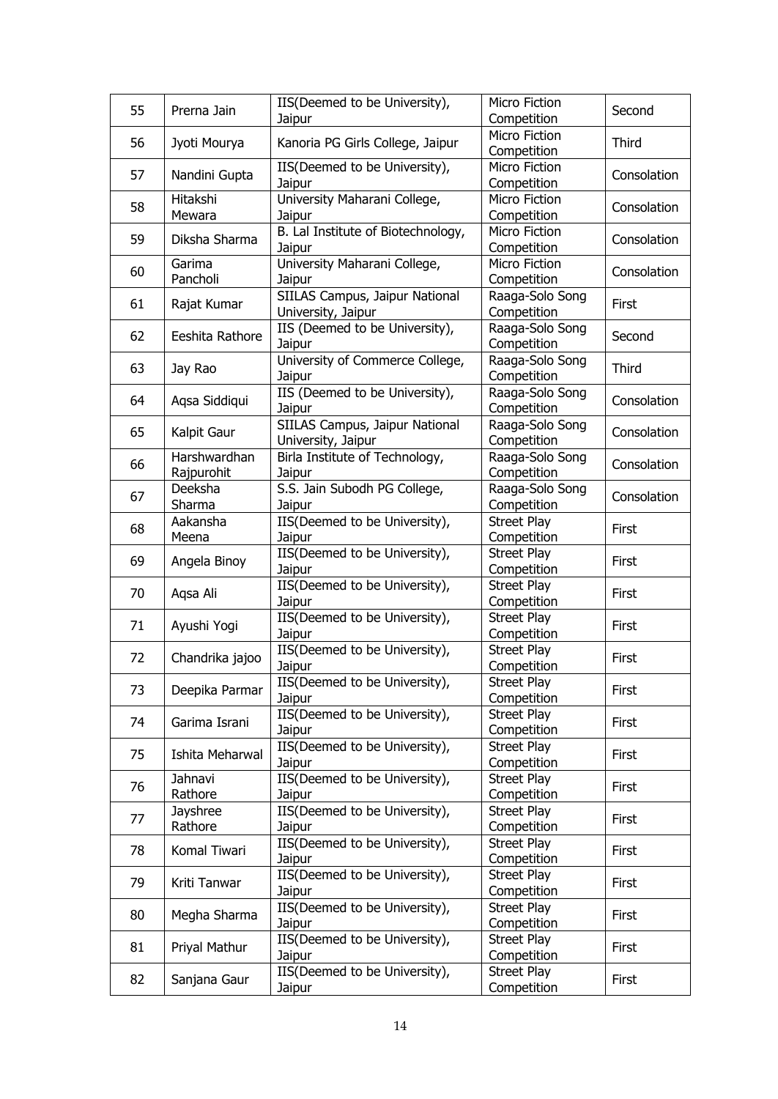| 55 | Prerna Jain     | IIS(Deemed to be University),            | Micro Fiction                | Second       |  |
|----|-----------------|------------------------------------------|------------------------------|--------------|--|
|    |                 | Jaipur                                   | Competition                  |              |  |
| 56 | Jyoti Mourya    | Kanoria PG Girls College, Jaipur         | Micro Fiction<br>Competition | Third        |  |
|    |                 | IIS(Deemed to be University),            | Micro Fiction                |              |  |
| 57 | Nandini Gupta   | Jaipur                                   | Competition                  | Consolation  |  |
|    | Hitakshi        | University Maharani College,             | Micro Fiction                |              |  |
| 58 | Mewara          | Jaipur                                   | Competition                  | Consolation  |  |
|    |                 | B. Lal Institute of Biotechnology,       | Micro Fiction                |              |  |
| 59 | Diksha Sharma   | Jaipur                                   | Competition                  | Consolation  |  |
|    | Garima          | University Maharani College,             | Micro Fiction                |              |  |
| 60 | Pancholi        |                                          |                              | Consolation  |  |
|    |                 | Jaipur<br>SIILAS Campus, Jaipur National | Competition                  |              |  |
| 61 | Rajat Kumar     |                                          | Raaga-Solo Song              | First        |  |
|    |                 | University, Jaipur                       | Competition                  |              |  |
| 62 | Eeshita Rathore | IIS (Deemed to be University),           | Raaga-Solo Song              | Second       |  |
|    |                 | Jaipur                                   | Competition                  |              |  |
| 63 | Jay Rao         | University of Commerce College,          | Raaga-Solo Song              | <b>Third</b> |  |
|    |                 | Jaipur                                   | Competition                  |              |  |
| 64 | Agsa Siddigui   | IIS (Deemed to be University),           | Raaga-Solo Song              | Consolation  |  |
|    |                 | Jaipur                                   | Competition                  |              |  |
| 65 | Kalpit Gaur     | SIILAS Campus, Jaipur National           | Raaga-Solo Song              | Consolation  |  |
|    |                 | University, Jaipur                       | Competition                  |              |  |
| 66 | Harshwardhan    | Birla Institute of Technology,           | Raaga-Solo Song              | Consolation  |  |
|    | Rajpurohit      | Jaipur                                   | Competition                  |              |  |
| 67 | Deeksha         | S.S. Jain Subodh PG College,             | Raaga-Solo Song              | Consolation  |  |
|    | Sharma          | Jaipur                                   | Competition                  |              |  |
|    | Aakansha        | IIS(Deemed to be University),            | <b>Street Play</b>           |              |  |
| 68 | Meena           | Jaipur                                   | Competition                  | First        |  |
|    |                 | IIS(Deemed to be University),            | Street Play                  | First        |  |
| 69 | Angela Binoy    | Jaipur                                   | Competition                  |              |  |
|    |                 | IIS(Deemed to be University),            | <b>Street Play</b>           |              |  |
| 70 | Aqsa Ali        | Jaipur                                   | Competition                  | First        |  |
|    |                 | IIS(Deemed to be University),            | <b>Street Play</b>           |              |  |
| 71 | Ayushi Yogi     | Jaipur                                   | Competition                  | First        |  |
|    |                 | IIS(Deemed to be University),            | <b>Street Play</b>           |              |  |
| 72 | Chandrika jajoo | Jaipur                                   | Competition                  | First        |  |
|    |                 | IIS(Deemed to be University),            | <b>Street Play</b>           |              |  |
| 73 | Deepika Parmar  | Jaipur                                   | Competition                  | First        |  |
|    |                 | IIS(Deemed to be University),            | <b>Street Play</b>           |              |  |
| 74 | Garima Israni   | Jaipur                                   | Competition                  | First        |  |
|    |                 | IIS(Deemed to be University),            | <b>Street Play</b>           |              |  |
| 75 | Ishita Meharwal | Jaipur                                   | Competition                  | First        |  |
|    | Jahnavi         | IIS(Deemed to be University),            | <b>Street Play</b>           |              |  |
| 76 | Rathore         | Jaipur                                   | Competition                  | First        |  |
|    | Jayshree        | IIS(Deemed to be University),            | Street Play                  |              |  |
| 77 | Rathore         | Jaipur                                   | Competition                  | First        |  |
|    |                 | IIS(Deemed to be University),            | Street Play                  |              |  |
| 78 | Komal Tiwari    | Jaipur                                   | Competition                  | First        |  |
|    |                 | IIS(Deemed to be University),            | <b>Street Play</b>           |              |  |
| 79 | Kriti Tanwar    | Jaipur                                   | Competition                  | First        |  |
|    |                 | IIS(Deemed to be University),            | <b>Street Play</b>           |              |  |
| 80 | Megha Sharma    |                                          |                              | First        |  |
|    |                 | Jaipur                                   | Competition                  |              |  |
| 81 | Priyal Mathur   | IIS(Deemed to be University),            | <b>Street Play</b>           | First        |  |
|    |                 | Jaipur                                   | Competition                  |              |  |
| 82 | Sanjana Gaur    | IIS(Deemed to be University),            | Street Play                  | First        |  |
|    |                 | Jaipur                                   | Competition                  |              |  |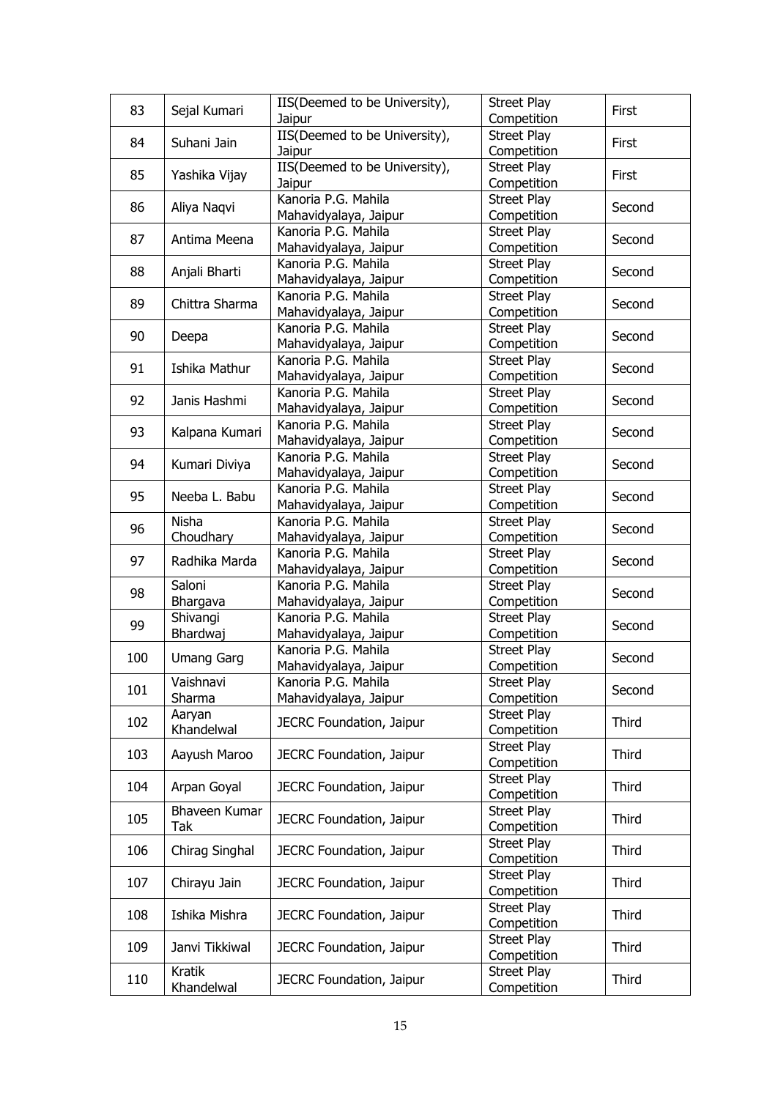| 83  | Sejal Kumari      | IIS(Deemed to be University),                | <b>Street Play</b>                | First        |
|-----|-------------------|----------------------------------------------|-----------------------------------|--------------|
|     |                   | Jaipur                                       | Competition                       |              |
| 84  | Suhani Jain       | IIS(Deemed to be University),                | <b>Street Play</b>                | First        |
|     |                   | Jaipur<br>IIS(Deemed to be University),      | Competition<br><b>Street Play</b> |              |
| 85  | Yashika Vijay     | Jaipur                                       | Competition                       | First        |
|     |                   | Kanoria P.G. Mahila                          | <b>Street Play</b>                |              |
| 86  | Aliya Naqvi       | Mahavidyalaya, Jaipur                        | Competition                       | Second       |
|     |                   | Kanoria P.G. Mahila                          | Street Play                       |              |
| 87  | Antima Meena      | Mahavidyalaya, Jaipur                        | Competition                       | Second       |
|     |                   | Kanoria P.G. Mahila                          | <b>Street Play</b>                |              |
| 88  | Anjali Bharti     | Mahavidyalaya, Jaipur                        | Competition                       | Second       |
|     |                   | Kanoria P.G. Mahila                          | <b>Street Play</b>                |              |
| 89  | Chittra Sharma    | Mahavidyalaya, Jaipur                        | Competition                       | Second       |
|     |                   | Kanoria P.G. Mahila                          | Street Play                       |              |
| 90  | Deepa             | Mahavidyalaya, Jaipur                        | Competition                       | Second       |
| 91  | Ishika Mathur     | Kanoria P.G. Mahila                          | <b>Street Play</b>                | Second       |
|     |                   | Mahavidyalaya, Jaipur                        | Competition                       |              |
| 92  | Janis Hashmi      | Kanoria P.G. Mahila                          | <b>Street Play</b>                | Second       |
|     |                   | Mahavidyalaya, Jaipur                        | Competition                       |              |
| 93  | Kalpana Kumari    | Kanoria P.G. Mahila                          | <b>Street Play</b>                | Second       |
|     |                   | Mahavidyalaya, Jaipur                        | Competition                       |              |
| 94  | Kumari Diviya     | Kanoria P.G. Mahila                          | <b>Street Play</b>                | Second       |
|     |                   | Mahavidyalaya, Jaipur                        | Competition                       |              |
| 95  | Neeba L. Babu     | Kanoria P.G. Mahila                          | <b>Street Play</b>                | Second       |
|     |                   | Mahavidyalaya, Jaipur                        | Competition                       |              |
| 96  | Nisha             | Kanoria P.G. Mahila                          | <b>Street Play</b>                | Second       |
|     | Choudhary         | Mahavidyalaya, Jaipur                        | Competition                       |              |
| 97  | Radhika Marda     | Kanoria P.G. Mahila                          | Street Play                       | Second       |
|     |                   | Mahavidyalaya, Jaipur                        | Competition                       |              |
| 98  | Saloni            | Kanoria P.G. Mahila                          | <b>Street Play</b>                | Second       |
|     | Bhargava          | Mahavidyalaya, Jaipur                        | Competition                       |              |
| 99  | Shivangi          | Kanoria P.G. Mahila                          | <b>Street Play</b>                | Second       |
|     | Bhardwaj          | Mahavidyalaya, Jaipur<br>Kanoria P.G. Mahila | Competition<br><b>Street Play</b> |              |
| 100 | <b>Umang Garg</b> | Mahavidyalaya, Jaipur                        | Competition                       | Second       |
|     | Vaishnavi         | Kanoria P.G. Mahila                          | <b>Street Play</b>                |              |
| 101 | Sharma            | Mahavidyalaya, Jaipur                        | Competition                       | Second       |
|     | Aaryan            |                                              | <b>Street Play</b>                |              |
| 102 | Khandelwal        | JECRC Foundation, Jaipur                     | Competition                       | Third        |
|     |                   |                                              | <b>Street Play</b>                |              |
| 103 | Aayush Maroo      | JECRC Foundation, Jaipur                     | Competition                       | Third        |
|     |                   |                                              | <b>Street Play</b>                |              |
| 104 | Arpan Goyal       | JECRC Foundation, Jaipur                     | Competition                       | Third        |
|     | Bhaveen Kumar     |                                              | <b>Street Play</b>                |              |
| 105 | Tak               | JECRC Foundation, Jaipur                     | Competition                       | Third        |
|     |                   |                                              | <b>Street Play</b>                |              |
| 106 | Chirag Singhal    | JECRC Foundation, Jaipur                     | Competition                       | Third        |
|     |                   |                                              | <b>Street Play</b>                |              |
| 107 | Chirayu Jain      | JECRC Foundation, Jaipur                     | Competition                       | Third        |
| 108 | Ishika Mishra     |                                              | <b>Street Play</b>                | Third        |
|     |                   | JECRC Foundation, Jaipur                     | Competition                       |              |
| 109 | Janvi Tikkiwal    | JECRC Foundation, Jaipur                     | <b>Street Play</b>                | <b>Third</b> |
|     |                   |                                              | Competition                       |              |
| 110 | <b>Kratik</b>     | JECRC Foundation, Jaipur                     | Street Play                       | <b>Third</b> |
|     | Khandelwal        |                                              | Competition                       |              |